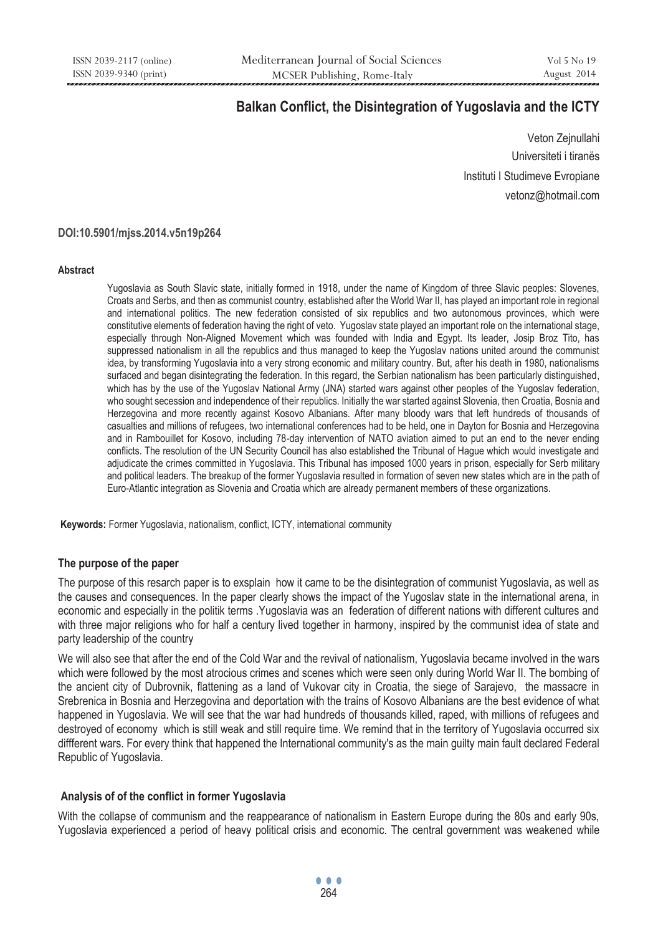# **Balkan Conflict, the Disintegration of Yugoslavia and the ICTY**

Veton Zejnullahi Universiteti i tiranës Instituti I Studimeve Evropiane vetonz@hotmail.com

### **DOI:10.5901/mjss.2014.v5n19p264**

#### **Abstract**

Yugoslavia as South Slavic state, initially formed in 1918, under the name of Kingdom of three Slavic peoples: Slovenes, Croats and Serbs, and then as communist country, established after the World War II, has played an important role in regional and international politics. The new federation consisted of six republics and two autonomous provinces, which were constitutive elements of federation having the right of veto. Yugoslav state played an important role on the international stage, especially through Non-Aligned Movement which was founded with India and Egypt. Its leader, Josip Broz Tito, has suppressed nationalism in all the republics and thus managed to keep the Yugoslav nations united around the communist idea, by transforming Yugoslavia into a very strong economic and military country. But, after his death in 1980, nationalisms surfaced and began disintegrating the federation. In this regard, the Serbian nationalism has been particularly distinguished, which has by the use of the Yugoslav National Army (JNA) started wars against other peoples of the Yugoslav federation, who sought secession and independence of their republics. Initially the war started against Slovenia, then Croatia, Bosnia and Herzegovina and more recently against Kosovo Albanians. After many bloody wars that left hundreds of thousands of casualties and millions of refugees, two international conferences had to be held, one in Dayton for Bosnia and Herzegovina and in Rambouillet for Kosovo, including 78-day intervention of NATO aviation aimed to put an end to the never ending conflicts. The resolution of the UN Security Council has also established the Tribunal of Hague which would investigate and adjudicate the crimes committed in Yugoslavia. This Tribunal has imposed 1000 years in prison, especially for Serb military and political leaders. The breakup of the former Yugoslavia resulted in formation of seven new states which are in the path of Euro-Atlantic integration as Slovenia and Croatia which are already permanent members of these organizations.

 **Keywords:** Former Yugoslavia, nationalism, conflict, ICTY, international community

### **The purpose of the paper**

The purpose of this resarch paper is to exsplain how it came to be the disintegration of communist Yugoslavia, as well as the causes and consequences. In the paper clearly shows the impact of the Yugoslav state in the international arena, in economic and especially in the politik terms .Yugoslavia was an federation of different nations with different cultures and with three major religions who for half a century lived together in harmony, inspired by the communist idea of state and party leadership of the country

We will also see that after the end of the Cold War and the revival of nationalism, Yugoslavia became involved in the wars which were followed by the most atrocious crimes and scenes which were seen only during World War II. The bombing of the ancient city of Dubrovnik, flattening as a land of Vukovar city in Croatia, the siege of Sarajevo, the massacre in Srebrenica in Bosnia and Herzegovina and deportation with the trains of Kosovo Albanians are the best evidence of what happened in Yugoslavia. We will see that the war had hundreds of thousands killed, raped, with millions of refugees and destroyed of economy which is still weak and still require time. We remind that in the territory of Yugoslavia occurred six diffferent wars. For every think that happened the International community's as the main guilty main fault declared Federal Republic of Yugoslavia.

### **Analysis of of the conflict in former Yugoslavia**

With the collapse of communism and the reappearance of nationalism in Eastern Europe during the 80s and early 90s, Yugoslavia experienced a period of heavy political crisis and economic. The central government was weakened while

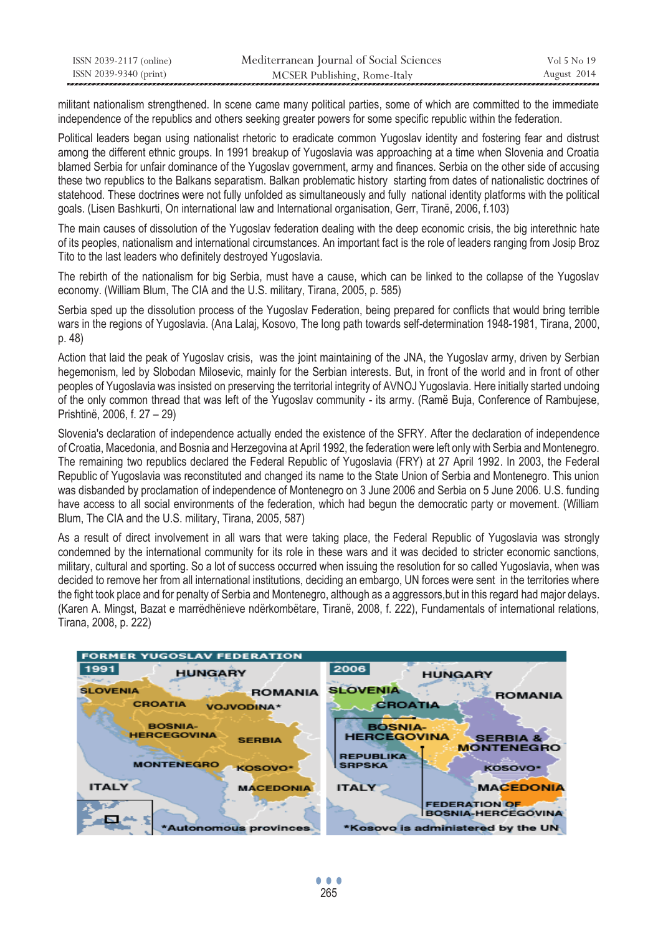| ISSN 2039-2117 (online) | Mediterranean Journal of Social Sciences | Vol 5 No 19 |
|-------------------------|------------------------------------------|-------------|
| ISSN 2039-9340 (print)  | MCSER Publishing, Rome-Italy             | August 2014 |

militant nationalism strengthened. In scene came many political parties, some of which are committed to the immediate independence of the republics and others seeking greater powers for some specific republic within the federation.

Political leaders began using nationalist rhetoric to eradicate common Yugoslay identity and fostering fear and distrust among the different ethnic groups. In 1991 breakup of Yugoslavia was approaching at a time when Slovenia and Croatia blamed Serbia for unfair dominance of the Yugoslav government, army and finances. Serbia on the other side of accusing these two republics to the Balkans separatism. Balkan problematic history starting from dates of nationalistic doctrines of statehood. These doctrines were not fully unfolded as simultaneously and fully national identity platforms with the political goals. (Lisen Bashkurti, On international law and International organisation, Gerr, Tiranë, 2006, f.103)

The main causes of dissolution of the Yugoslav federation dealing with the deep economic crisis, the big interethnic hate of its peoples, nationalism and international circumstances. An important fact is the role of leaders ranging from Josip Broz Tito to the last leaders who definitely destroyed Yugoslavia.

The rebirth of the nationalism for big Serbia, must have a cause, which can be linked to the collapse of the Yugoslav economy. (William Blum, The CIA and the U.S. military, Tirana, 2005, p. 585)

Serbia sped up the dissolution process of the Yugoslav Federation, being prepared for conflicts that would bring terrible wars in the regions of Yugoslavia. (Ana Lalaj, Kosovo, The long path towards self-determination 1948-1981, Tirana, 2000, p. 48)

Action that laid the peak of Yugoslav crisis, was the joint maintaining of the JNA, the Yugoslav army, driven by Serbian hegemonism, led by Slobodan Milosevic, mainly for the Serbian interests. But, in front of the world and in front of other peoples of Yugoslavia was insisted on preserving the territorial integrity of AVNOJ Yugoslavia. Here initially started undoing of the only common thread that was left of the Yugoslav community - its army. (Ramë Buja, Conference of Rambujese, Prishtinë, 2006, f. 27 – 29)

Slovenia's declaration of independence actually ended the existence of the SFRY. After the declaration of independence of Croatia, Macedonia, and Bosnia and Herzegovina at April 1992, the federation were left only with Serbia and Montenegro. The remaining two republics declared the Federal Republic of Yugoslavia (FRY) at 27 April 1992. In 2003, the Federal Republic of Yugoslavia was reconstituted and changed its name to the State Union of Serbia and Montenegro. This union was disbanded by proclamation of independence of Montenegro on 3 June 2006 and Serbia on 5 June 2006. U.S. funding have access to all social environments of the federation, which had begun the democratic party or movement. (William Blum, The CIA and the U.S. military, Tirana, 2005, 587)

As a result of direct involvement in all wars that were taking place, the Federal Republic of Yugoslavia was strongly condemned by the international community for its role in these wars and it was decided to stricter economic sanctions, military, cultural and sporting. So a lot of success occurred when issuing the resolution for so called Yugoslavia, when was decided to remove her from all international institutions, deciding an embargo, UN forces were sent in the territories where the fight took place and for penalty of Serbia and Montenegro, although as a aggressors,but in this regard had major delays. (Karen A. Mingst, Bazat e marrëdhënieve ndërkombëtare, Tiranë, 2008, f. 222), Fundamentals of international relations, Tirana, 2008, p. 222)

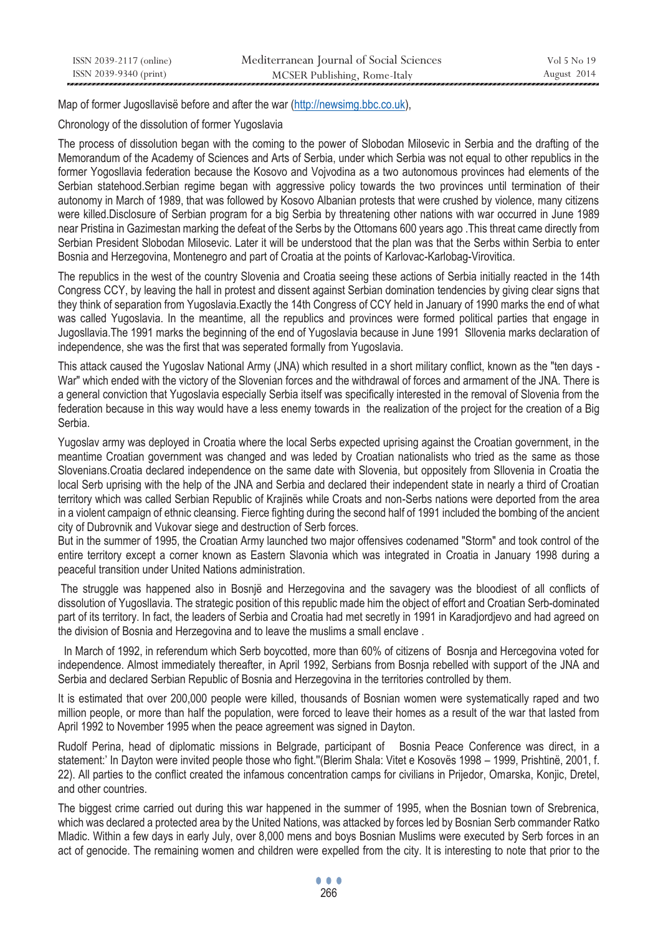| ISSN 2039-2117 (online) | Mediterranean Journal of Social Sciences | Vol 5 No 19 |
|-------------------------|------------------------------------------|-------------|
| ISSN 2039-9340 (print)  | MCSER Publishing, Rome-Italy             | August 2014 |

Map of former Jugosllavisё before and after the war (http://newsimg.bbc.co.uk),

# Chronology of the dissolution of former Yugoslavia

The process of dissolution began with the coming to the power of Slobodan Milosevic in Serbia and the drafting of the Memorandum of the Academy of Sciences and Arts of Serbia, under which Serbia was not equal to other republics in the former Yogosllavia federation because the Kosovo and Vojvodina as a two autonomous provinces had elements of the Serbian statehood. Serbian regime began with aggressive policy towards the two provinces until termination of their autonomy in March of 1989, that was followed by Kosovo Albanian protests that were crushed by violence, many citizens were killed.Disclosure of Serbian program for a big Serbia by threatening other nations with war occurred in June 1989 near Pristina in Gazimestan marking the defeat of the Serbs by the Ottomans 600 years ago .This threat came directly from Serbian President Slobodan Milosevic. Later it will be understood that the plan was that the Serbs within Serbia to enter Bosnia and Herzegovina, Montenegro and part of Croatia at the points of Karlovac-Karlobag-Virovitica.

The republics in the west of the country Slovenia and Croatia seeing these actions of Serbia initially reacted in the 14th Congress CCY, by leaving the hall in protest and dissent against Serbian domination tendencies by giving clear signs that they think of separation from Yugoslavia.Exactly the 14th Congress of CCY held in January of 1990 marks the end of what was called Yugoslavia. In the meantime, all the republics and provinces were formed political parties that engage in Jugosllavia.The 1991 marks the beginning of the end of Yugoslavia because in June 1991 Sllovenia marks declaration of independence, she was the first that was seperated formally from Yugoslavia.

This attack caused the Yugoslav National Army (JNA) which resulted in a short military conflict, known as the "ten days - War" which ended with the victory of the Slovenian forces and the withdrawal of forces and armament of the JNA. There is a general conviction that Yugoslavia especially Serbia itself was specifically interested in the removal of Slovenia from the federation because in this way would have a less enemy towards in the realization of the project for the creation of a Big Serbia.

Yugoslav army was deployed in Croatia where the local Serbs expected uprising against the Croatian government, in the meantime Croatian government was changed and was leded by Croatian nationalists who tried as the same as those Slovenians.Croatia declared independence on the same date with Slovenia, but oppositely from Sllovenia in Croatia the local Serb uprising with the help of the JNA and Serbia and declared their independent state in nearly a third of Croatian territory which was called Serbian Republic of Krajinës while Croats and non-Serbs nations were deported from the area in a violent campaign of ethnic cleansing. Fierce fighting during the second half of 1991 included the bombing of the ancient city of Dubrovnik and Vukovar siege and destruction of Serb forces.

But in the summer of 1995, the Croatian Army launched two major offensives codenamed "Storm" and took control of the entire territory except a corner known as Eastern Slavonia which was integrated in Croatia in January 1998 during a peaceful transition under United Nations administration.

The struggle was happened also in Bosnië and Herzegovina and the savagery was the bloodiest of all conflicts of dissolution of Yugosllavia. The strategic position of this republic made him the object of effort and Croatian Serb-dominated part of its territory. In fact, the leaders of Serbia and Croatia had met secretly in 1991 in Karadjordjevo and had agreed on the division of Bosnia and Herzegovina and to leave the muslims a small enclave .

 In March of 1992, in referendum which Serb boycotted, more than 60% of citizens of Bosnja and Hercegovina voted for independence. Almost immediately thereafter, in April 1992, Serbians from Bosnja rebelled with support of the JNA and Serbia and declared Serbian Republic of Bosnia and Herzegovina in the territories controlled by them.

It is estimated that over 200,000 people were killed, thousands of Bosnian women were systematically raped and two million people, or more than half the population, were forced to leave their homes as a result of the war that lasted from April 1992 to November 1995 when the peace agreement was signed in Dayton.

Rudolf Perina, head of diplomatic missions in Belgrade, participant of Bosnia Peace Conference was direct, in a statement:' In Dayton were invited people those who fight.''(Blerim Shala: Vitet e Kosovës 1998 – 1999, Prishtinë, 2001, f. 22). All parties to the conflict created the infamous concentration camps for civilians in Prijedor, Omarska, Konjic, Dretel, and other countries.

The biggest crime carried out during this war happened in the summer of 1995, when the Bosnian town of Srebrenica, which was declared a protected area by the United Nations, was attacked by forces led by Bosnian Serb commander Ratko Mladic. Within a few days in early July, over 8,000 mens and boys Bosnian Muslims were executed by Serb forces in an act of genocide. The remaining women and children were expelled from the city. It is interesting to note that prior to the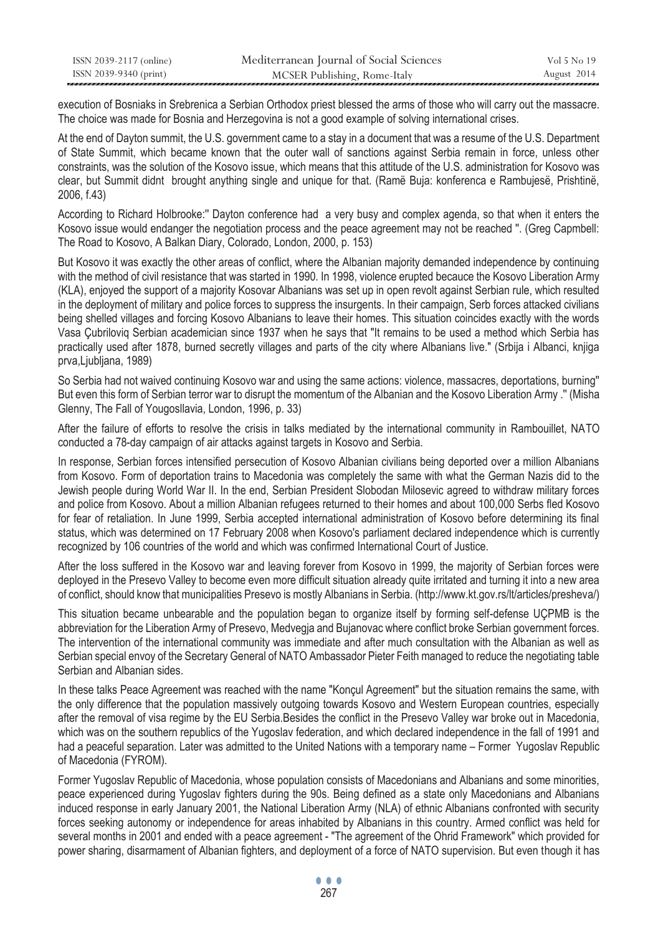| ISSN 2039-2117 (online) | Mediterranean Journal of Social Sciences | Vol 5 No 19 |
|-------------------------|------------------------------------------|-------------|
| ISSN 2039-9340 (print)  | MCSER Publishing, Rome-Italy             | August 2014 |

execution of Bosniaks in Srebrenica a Serbian Orthodox priest blessed the arms of those who will carry out the massacre. The choice was made for Bosnia and Herzegovina is not a good example of solving international crises.

At the end of Dayton summit, the U.S. government came to a stay in a document that was a resume of the U.S. Department of State Summit, which became known that the outer wall of sanctions against Serbia remain in force, unless other constraints, was the solution of the Kosovo issue, which means that this attitude of the U.S. administration for Kosovo was clear, but Summit didnt brought anything single and unique for that. (Ramë Buja: konferenca e Rambujesë, Prishtinë, 2006, f.43)

According to Richard Holbrooke:'' Dayton conference had a very busy and complex agenda, so that when it enters the Kosovo issue would endanger the negotiation process and the peace agreement may not be reached ''. (Greg Capmbell: The Road to Kosovo, A Balkan Diary, Colorado, London, 2000, p. 153)

But Kosovo it was exactly the other areas of conflict, where the Albanian majority demanded independence by continuing with the method of civil resistance that was started in 1990. In 1998, violence erupted becauce the Kosovo Liberation Army (KLA), enjoyed the support of a majority Kosovar Albanians was set up in open revolt against Serbian rule, which resulted in the deployment of military and police forces to suppress the insurgents. In their campaign, Serb forces attacked civilians being shelled villages and forcing Kosovo Albanians to leave their homes. This situation coincides exactly with the words Vasa Çubriloviq Serbian academician since 1937 when he says that "It remains to be used a method which Serbia has practically used after 1878, burned secretly villages and parts of the city where Albanians live." (Srbija i Albanci, knjiga prva,Ljubljana, 1989)

So Serbia had not waived continuing Kosovo war and using the same actions: violence, massacres, deportations, burning'' But even this form of Serbian terror war to disrupt the momentum of the Albanian and the Kosovo Liberation Army .'' (Misha Glenny, The Fall of Yougosllavia, London, 1996, p. 33)

After the failure of efforts to resolve the crisis in talks mediated by the international community in Rambouillet, NATO conducted a 78-day campaign of air attacks against targets in Kosovo and Serbia.

In response, Serbian forces intensified persecution of Kosovo Albanian civilians being deported over a million Albanians from Kosovo. Form of deportation trains to Macedonia was completely the same with what the German Nazis did to the Jewish people during World War II. In the end, Serbian President Slobodan Milosevic agreed to withdraw military forces and police from Kosovo. About a million Albanian refugees returned to their homes and about 100,000 Serbs fled Kosovo for fear of retaliation. In June 1999, Serbia accepted international administration of Kosovo before determining its final status, which was determined on 17 February 2008 when Kosovo's parliament declared independence which is currently recognized by 106 countries of the world and which was confirmed International Court of Justice.

After the loss suffered in the Kosovo war and leaving forever from Kosovo in 1999, the majority of Serbian forces were deployed in the Presevo Valley to become even more difficult situation already quite irritated and turning it into a new area of conflict, should know that municipalities Presevo is mostly Albanians in Serbia. (http://www.kt.gov.rs/lt/articles/presheva/)

This situation became unbearable and the population began to organize itself by forming self-defense UÇPMB is the abbreviation for the Liberation Army of Presevo, Medvegja and Bujanovac where conflict broke Serbian government forces. The intervention of the international community was immediate and after much consultation with the Albanian as well as Serbian special envoy of the Secretary General of NATO Ambassador Pieter Feith managed to reduce the negotiating table Serbian and Albanian sides.

In these talks Peace Agreement was reached with the name "Konçul Agreement" but the situation remains the same, with the only difference that the population massively outgoing towards Kosovo and Western European countries, especially after the removal of visa regime by the EU Serbia.Besides the conflict in the Presevo Valley war broke out in Macedonia, which was on the southern republics of the Yugoslav federation, and which declared independence in the fall of 1991 and had a peaceful separation. Later was admitted to the United Nations with a temporary name – Former Yugoslav Republic of Macedonia (FYROM).

Former Yugoslav Republic of Macedonia, whose population consists of Macedonians and Albanians and some minorities, peace experienced during Yugoslav fighters during the 90s. Being defined as a state only Macedonians and Albanians induced response in early January 2001, the National Liberation Army (NLA) of ethnic Albanians confronted with security forces seeking autonomy or independence for areas inhabited by Albanians in this country. Armed conflict was held for several months in 2001 and ended with a peace agreement - "The agreement of the Ohrid Framework" which provided for power sharing, disarmament of Albanian fighters, and deployment of a force of NATO supervision. But even though it has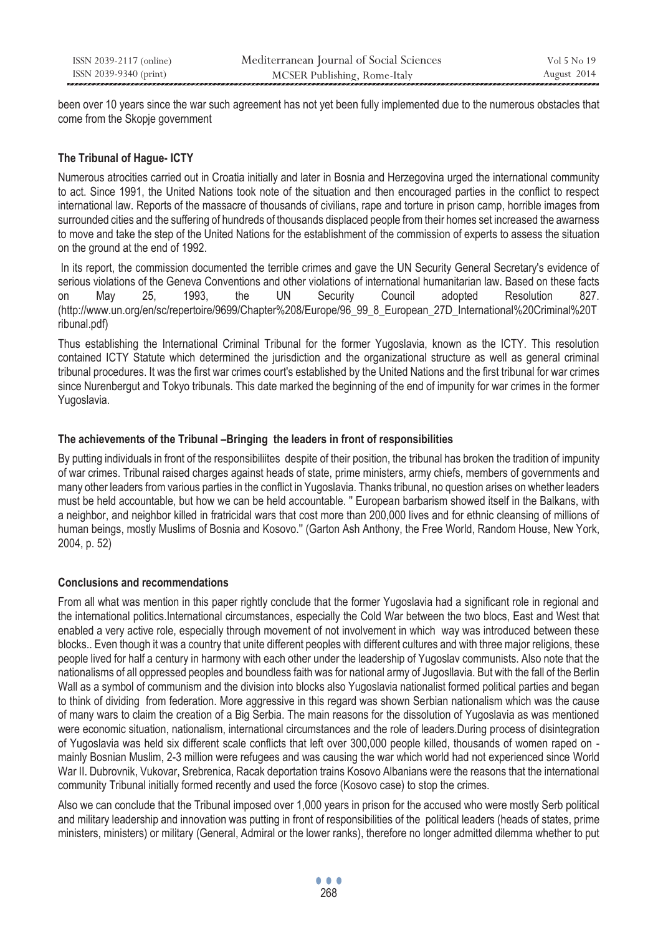been over 10 years since the war such agreement has not yet been fully implemented due to the numerous obstacles that come from the Skopje government

# **The Tribunal of Hague- ICTY**

Numerous atrocities carried out in Croatia initially and later in Bosnia and Herzegovina urged the international community to act. Since 1991, the United Nations took note of the situation and then encouraged parties in the conflict to respect international law. Reports of the massacre of thousands of civilians, rape and torture in prison camp, horrible images from surrounded cities and the suffering of hundreds of thousands displaced people from their homes set increased the awarness to move and take the step of the United Nations for the establishment of the commission of experts to assess the situation on the ground at the end of 1992.

In its report, the commission documented the terrible crimes and gave the UN Security General Secretary's evidence of serious violations of the Geneva Conventions and other violations of international humanitarian law. Based on these facts on May 25, 1993, the UN Security Council adopted Resolution 827. (http://www.un.org/en/sc/repertoire/9699/Chapter%208/Europe/96\_99\_8\_European\_27D\_International%20Criminal%20T ribunal.pdf)

Thus establishing the International Criminal Tribunal for the former Yugoslavia, known as the ICTY. This resolution contained ICTY Statute which determined the jurisdiction and the organizational structure as well as general criminal tribunal procedures. It was the first war crimes court's established by the United Nations and the first tribunal for war crimes since Nurenbergut and Tokyo tribunals. This date marked the beginning of the end of impunity for war crimes in the former Yugoslavia.

# **The achievements of the Tribunal –Bringing the leaders in front of responsibilities**

By putting individuals in front of the responsibiliites despite of their position, the tribunal has broken the tradition of impunity of war crimes. Tribunal raised charges against heads of state, prime ministers, army chiefs, members of governments and many other leaders from various parties in the conflict in Yugoslavia. Thanks tribunal, no question arises on whether leaders must be held accountable, but how we can be held accountable. '' European barbarism showed itself in the Balkans, with a neighbor, and neighbor killed in fratricidal wars that cost more than 200,000 lives and for ethnic cleansing of millions of human beings, mostly Muslims of Bosnia and Kosovo.'' (Garton Ash Anthony, the Free World, Random House, New York, 2004, p. 52)

### **Conclusions and recommendations**

From all what was mention in this paper rightly conclude that the former Yugoslavia had a significant role in regional and the international politics.International circumstances, especially the Cold War between the two blocs, East and West that enabled a very active role, especially through movement of not involvement in which way was introduced between these blocks.. Even though it was a country that unite different peoples with different cultures and with three major religions, these people lived for half a century in harmony with each other under the leadership of Yugoslav communists. Also note that the nationalisms of all oppressed peoples and boundless faith was for national army of Jugosllavia. But with the fall of the Berlin Wall as a symbol of communism and the division into blocks also Yugoslavia nationalist formed political parties and began to think of dividing from federation. More aggressive in this regard was shown Serbian nationalism which was the cause of many wars to claim the creation of a Big Serbia. The main reasons for the dissolution of Yugoslavia as was mentioned were economic situation, nationalism, international circumstances and the role of leaders.During process of disintegration of Yugoslavia was held six different scale conflicts that left over 300,000 people killed, thousands of women raped on mainly Bosnian Muslim, 2-3 million were refugees and was causing the war which world had not experienced since World War II. Dubrovnik, Vukovar, Srebrenica, Racak deportation trains Kosovo Albanians were the reasons that the international community Tribunal initially formed recently and used the force (Kosovo case) to stop the crimes.

Also we can conclude that the Tribunal imposed over 1,000 years in prison for the accused who were mostly Serb political and military leadership and innovation was putting in front of responsibilities of the political leaders (heads of states, prime ministers, ministers) or military (General, Admiral or the lower ranks), therefore no longer admitted dilemma whether to put